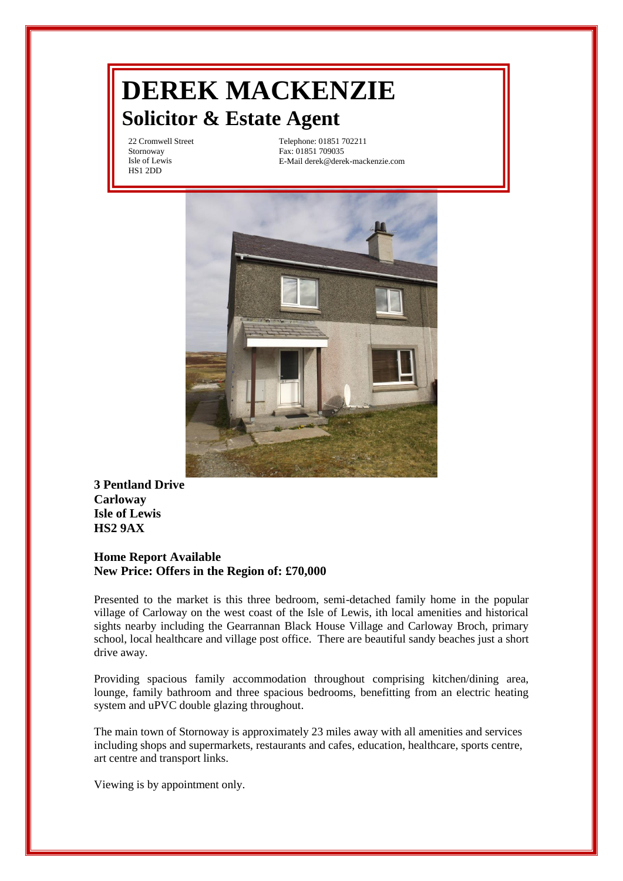# **DEREK MACKENZIE Solicitor & Estate Agent**

22 Cromwell Street Stornoway Isle of Lewis HS1 2DD

Telephone: 01851 702211 Fax: 01851 709035 E-Mail derek@derek-mackenzie.com



**3 Pentland Drive Carloway Isle of Lewis HS2 9AX**

### **Home Report Available New Price: Offers in the Region of: £70,000**

Presented to the market is this three bedroom, semi-detached family home in the popular village of Carloway on the west coast of the Isle of Lewis, ith local amenities and historical sights nearby including the Gearrannan Black House Village and Carloway Broch, primary school, local healthcare and village post office. There are beautiful sandy beaches just a short drive away.

Providing spacious family accommodation throughout comprising kitchen/dining area, lounge, family bathroom and three spacious bedrooms, benefitting from an electric heating system and uPVC double glazing throughout.

The main town of Stornoway is approximately 23 miles away with all amenities and services including shops and supermarkets, restaurants and cafes, education, healthcare, sports centre, art centre and transport links.

Viewing is by appointment only.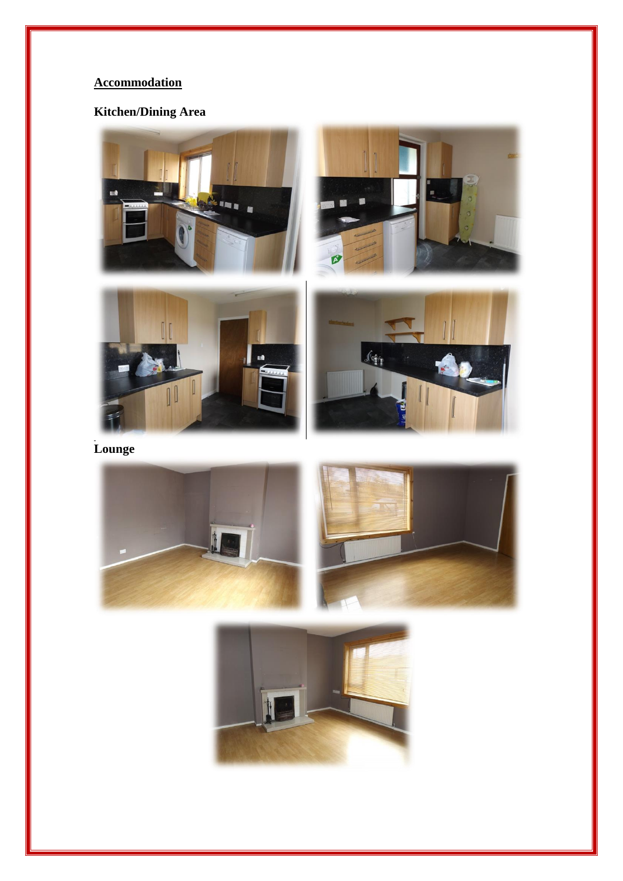# **Accommodation**

# **Kitchen/Dining Area**









Lounge **Lounge**





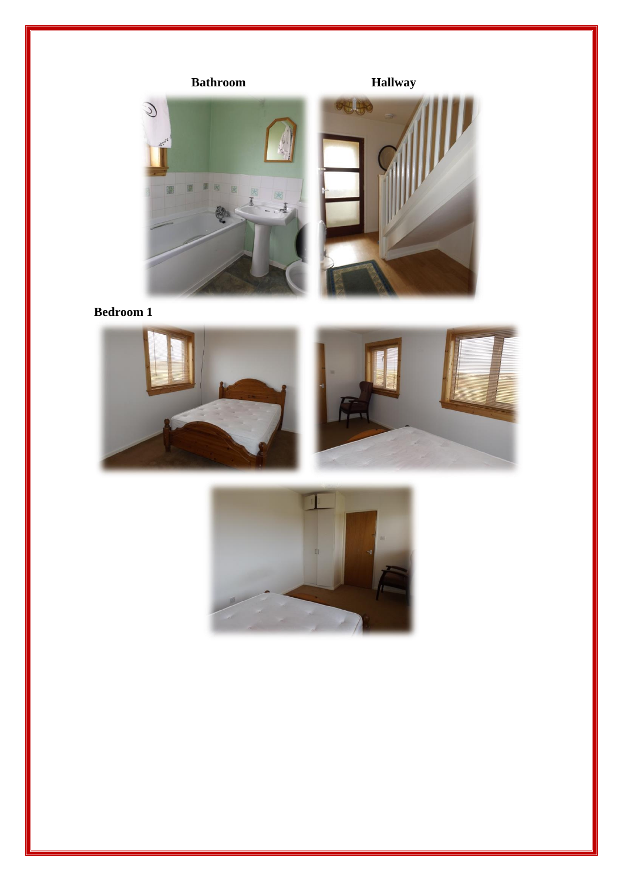

**Bedroom 1**





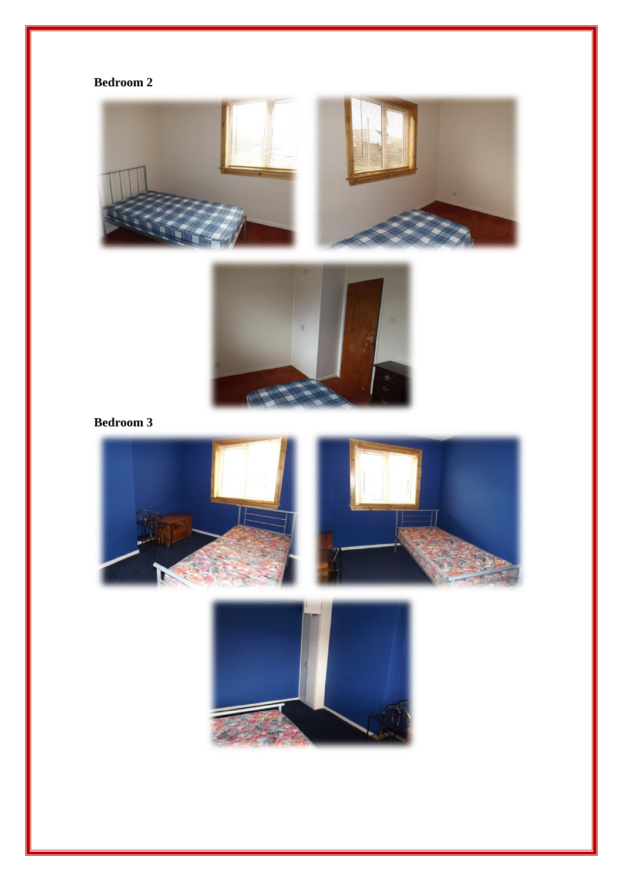## **Bedroom 2**





**Bedroom 3**



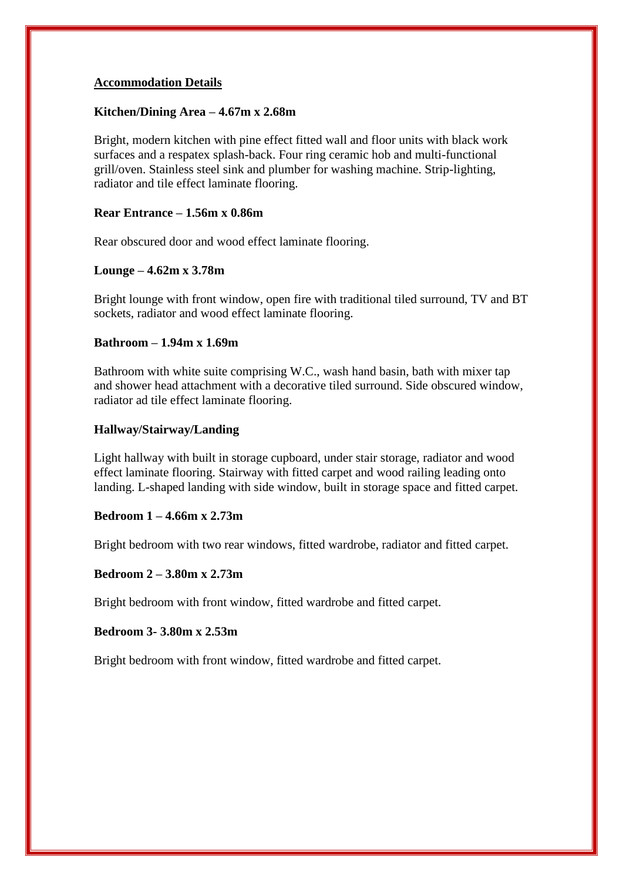#### **Accommodation Details**

#### **Kitchen/Dining Area – 4.67m x 2.68m**

Bright, modern kitchen with pine effect fitted wall and floor units with black work surfaces and a respatex splash-back. Four ring ceramic hob and multi-functional grill/oven. Stainless steel sink and plumber for washing machine. Strip-lighting, radiator and tile effect laminate flooring.

### **Rear Entrance – 1.56m x 0.86m**

Rear obscured door and wood effect laminate flooring.

#### **Lounge – 4.62m x 3.78m**

Bright lounge with front window, open fire with traditional tiled surround, TV and BT sockets, radiator and wood effect laminate flooring.

### **Bathroom – 1.94m x 1.69m**

Bathroom with white suite comprising W.C., wash hand basin, bath with mixer tap and shower head attachment with a decorative tiled surround. Side obscured window, radiator ad tile effect laminate flooring.

#### **Hallway/Stairway/Landing**

Light hallway with built in storage cupboard, under stair storage, radiator and wood effect laminate flooring. Stairway with fitted carpet and wood railing leading onto landing. L-shaped landing with side window, built in storage space and fitted carpet.

#### **Bedroom 1 – 4.66m x 2.73m**

Bright bedroom with two rear windows, fitted wardrobe, radiator and fitted carpet.

#### **Bedroom 2 – 3.80m x 2.73m**

Bright bedroom with front window, fitted wardrobe and fitted carpet.

#### **Bedroom 3- 3.80m x 2.53m**

Bright bedroom with front window, fitted wardrobe and fitted carpet.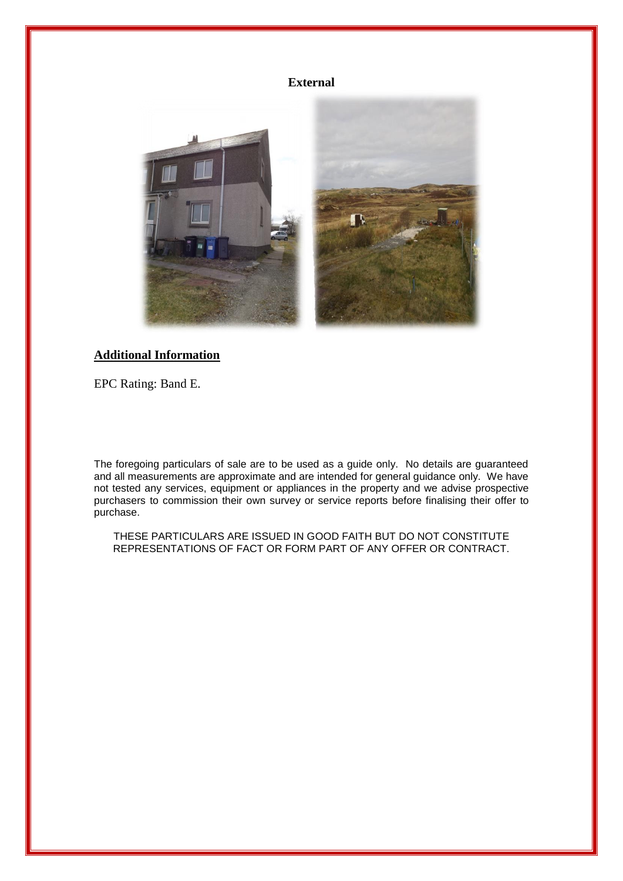#### **External**



### **Additional Information**

EPC Rating: Band E.

The foregoing particulars of sale are to be used as a guide only. No details are guaranteed and all measurements are approximate and are intended for general guidance only. We have not tested any services, equipment or appliances in the property and we advise prospective purchasers to commission their own survey or service reports before finalising their offer to purchase.

THESE PARTICULARS ARE ISSUED IN GOOD FAITH BUT DO NOT CONSTITUTE REPRESENTATIONS OF FACT OR FORM PART OF ANY OFFER OR CONTRACT.